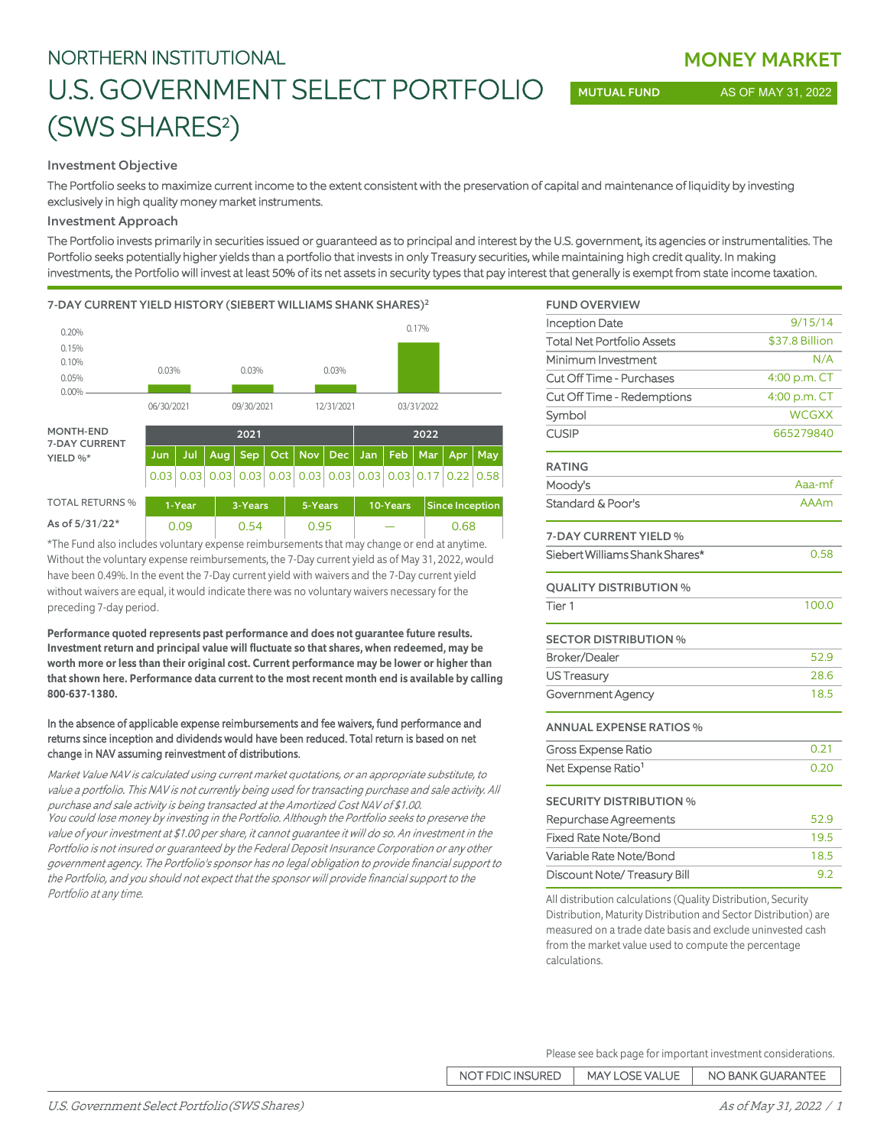# NORTHERN INSTITUTIONAL U.S. GOVERNMENT SELECT PORTFOLIO (SWS SHARES<sup>2</sup>)

Investment Objective

The Portfolio seeks to maximize current income to the extent consistent with the preservation of capital and maintenance of liquidity by investing exclusively in high quality money market instruments.

## Investment Approach

The Portfolio invests primarily in securities issued or guaranteed as to principal and interest by the U.S. government, its agencies or instrumentalities. The Portfolio seeks potentially higher yields than a portfolio that invests in only Treasury securities, while maintaining high credit quality. In making investments, the Portfolio will invest at least 50% of its net assets in security types that pay interest that generally is exempt from state income taxation.

### 7-DAY CURRENT YIELD HISTORY (SIEBERT WILLIAMS SHANK SHARES)<sup>2</sup>



\*The Fund also includes voluntary expense reimbursements that may change or end at anytime. Without the voluntary expense reimbursements, the 7-Day current yield as of May 31, 2022, would have been 0.49%. In the event the 7-Day current yield with waivers and the 7-Day current yield without waivers are equal, it would indicate there was no voluntary waivers necessary for the preceding 7-day period.

**Performance quoted represents past performance and does not guarantee future results. Investment return and principal value will fluctuate so that shares, when redeemed, may be worth more or less than their original cost. Current performance may be lower or higher than that shown here. Performance data current to the most recent month end is available by calling 800-637-1380.**

## In the absence of applicable expense reimbursements and fee waivers, fund performance and returns since inception and dividends would have been reduced. Total return is based on net change in NAV assuming reinvestment of distributions.

Market Value NAV is calculated using current market quotations, or an appropriate substitute, to value a portfolio. This NAV is not currently being used for transacting purchase and sale activity. All purchase and sale activity is being transacted at the Amortized Cost NAV of \$1.00. You could lose money by investing in the Portfolio. Although the Portfolio seeks to preserve the value of your investment at \$1.00 per share, it cannot guarantee it will do so. An investment in the Portfolio is not insured or quaranteed by the Federal Deposit Insurance Corporation or any other government agency. The Portfolio's sponsor has no legal obligation to provide financial support to the Portfolio, and you should not expect that the sponsor will provide financial support to the Portfolio at any time.

| <b>FUND OVERVIEW</b>              |                |
|-----------------------------------|----------------|
| <b>Inception Date</b>             | 9/15/14        |
| <b>Total Net Portfolio Assets</b> | \$37.8 Billion |
| Minimum Investment                | N/A            |
| Cut Off Time - Purchases          | 4:00 p.m. CT   |
| Cut Off Time - Redemptions        | 4:00 p.m. CT   |
| Symbol                            | <b>WCGXX</b>   |
| <b>CUSIP</b>                      | 665279840      |
| <b>RATING</b>                     |                |
| Moody's                           | Aaa-mf         |
| Standard & Poor's                 | <b>AAAm</b>    |
| 7-DAY CURRENT YIELD %             |                |
| Siebert Williams Shank Shares*    | 0.58           |
| <b>QUALITY DISTRIBUTION %</b>     |                |
| Tier <sub>1</sub>                 | 100.0          |
| <b>SECTOR DISTRIBUTION %</b>      |                |
| <b>Broker/Dealer</b>              | 52.9           |
| <b>US Treasury</b>                | 28.6           |
| Government Agency                 | 18.5           |
| <b>ANNUAL EXPENSE RATIOS %</b>    |                |
| <b>Gross Expense Ratio</b>        | 0.21           |
| Net Expense Ratio <sup>1</sup>    | 0.20           |
| <b>SECURITY DISTRIBUTION %</b>    |                |
| Repurchase Agreements             | 52.9           |
| <b>Fixed Rate Note/Bond</b>       | 19.5           |
| Variable Rate Note/Bond           | 18.5           |
| Discount Note/Treasury Bill       | 9.2            |

All distribution calculations (Quality Distribution, Security Distribution, Maturity Distribution and Sector Distribution) are measured on a trade date basis and exclude uninvested cash from the market value used to compute the percentage calculations.

Please see back page for important investment considerations.

| NOT FDIC INSURED | <b>MAY LOSE VALUE</b> | NO BANK GUARANTEE |
|------------------|-----------------------|-------------------|
|------------------|-----------------------|-------------------|

MONEY MARKET

MUTUAL FUND AS OF MAY 31, 2022